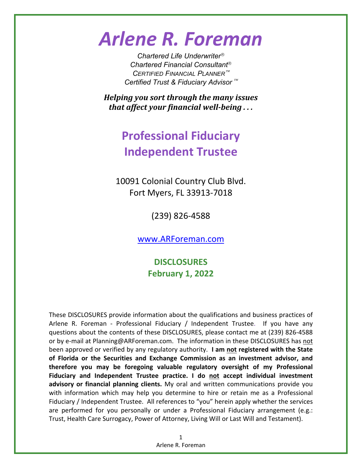# *Arlene R. Foreman*

*Chartered Life Underwriter Chartered Financial Consultant CERTIFIED FINANCIAL PLANNER Certified Trust & Fiduciary Advisor*

*Helping you sort through the many issues that affect your financial well‐being . . .*

## **Professional Fiduciary Independent Trustee**

10091 Colonial Country Club Blvd. Fort Myers, FL 33913‐7018

(239) 826‐4588

www.ARForeman.com

**DISCLOSURES February 1, 2022**

These DISCLOSURES provide information about the qualifications and business practices of Arlene R. Foreman - Professional Fiduciary / Independent Trustee. If you have any questions about the contents of these DISCLOSURES, please contact me at (239) 826‐4588 or by e‐mail at Planning@ARForeman.com. The information in these DISCLOSURES has not been approved or verified by any regulatory authority. **I am not registered with the State of Florida or the Securities and Exchange Commission as an investment advisor, and therefore you may be foregoing valuable regulatory oversight of my Professional Fiduciary and Independent Trustee practice. I do not accept individual investment advisory or financial planning clients.** My oral and written communications provide you with information which may help you determine to hire or retain me as a Professional Fiduciary / Independent Trustee. All references to "you" herein apply whether the services are performed for you personally or under a Professional Fiduciary arrangement (e.g.: Trust, Health Care Surrogacy, Power of Attorney, Living Will or Last Will and Testament).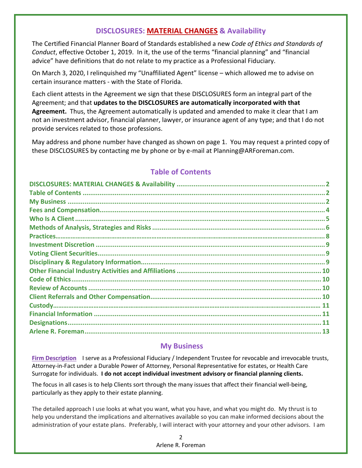## **DISCLOSURES: MATERIAL CHANGES & Availability**

The Certified Financial Planner Board of Standards established a new *Code of Ethics and Standards of Conduct*, effective October 1, 2019. In it, the use of the terms "financial planning" and "financial advice" have definitions that do not relate to my practice as a Professional Fiduciary.

On March 3, 2020, I relinquished my "Unaffiliated Agent" license – which allowed me to advise on certain insurance matters ‐ with the State of Florida.

Each client attests in the Agreement we sign that these DISCLOSURES form an integral part of the Agreement; and that **updates to the DISCLOSURES are automatically incorporated with that Agreement.** Thus, the Agreement automatically is updated and amended to make it clear that I am not an investment advisor, financial planner, lawyer, or insurance agent of any type; and that I do not provide services related to those professions.

May address and phone number have changed as shown on page 1. You may request a printed copy of these DISCLOSURES by contacting me by phone or by e-mail at Planning@ARForeman.com.

## **Table of Contents**

## **My Business**

**Firm Description** I serve as a Professional Fiduciary / Independent Trustee for revocable and irrevocable trusts, Attorney‐in‐Fact under a Durable Power of Attorney, Personal Representative for estates, or Health Care Surrogate for individuals. **I do not accept individual investment advisory or financial planning clients.**

The focus in all cases is to help Clients sort through the many issues that affect their financial well‐being, particularly as they apply to their estate planning.

The detailed approach I use looks at what you want, what you have, and what you might do. My thrust is to help you understand the implications and alternatives available so you can make informed decisions about the administration of your estate plans. Preferably, I will interact with your attorney and your other advisors. I am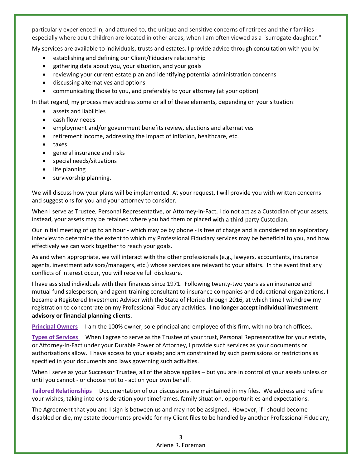particularly experienced in, and attuned to, the unique and sensitive concerns of retirees and their families ‐ especially where adult children are located in other areas, when I am often viewed as a "surrogate daughter."

My services are available to individuals, trusts and estates. I provide advice through consultation with you by

- establishing and defining our Client/Fiduciary relationship
- gathering data about you, your situation, and your goals
- reviewing your current estate plan and identifying potential administration concerns
- discussing alternatives and options
- communicating those to you, and preferably to your attorney (at your option)

In that regard, my process may address some or all of these elements, depending on your situation:

- assets and liabilities
- cash flow needs
- employment and/or government benefits review, elections and alternatives
- retirement income, addressing the impact of inflation, healthcare, etc.
- taxes
- general insurance and risks
- special needs/situations
- life planning
- survivorship planning.

We will discuss how your plans will be implemented. At your request, I will provide you with written concerns and suggestions for you and your attorney to consider.

When I serve as Trustee, Personal Representative, or Attorney-In-Fact, I do not act as a Custodian of your assets; instead, your assets may be retained where you had them or placed with a third‐party Custodian.

Our initial meeting of up to an hour ‐ which may be by phone ‐ is free of charge and is considered an exploratory interview to determine the extent to which my Professional Fiduciary services may be beneficial to you, and how effectively we can work together to reach your goals.

As and when appropriate, we will interact with the other professionals (e.g., lawyers, accountants, insurance agents, investment advisors/managers, etc.) whose services are relevant to your affairs. In the event that any conflicts of interest occur, you will receive full disclosure.

I have assisted individuals with their finances since 1971. Following twenty‐two years as an insurance and mutual fund salesperson, and agent‐training consultant to insurance companies and educational organizations, I became a Registered Investment Advisor with the State of Florida through 2016, at which time I withdrew my registration to concentrate on my Professional Fiduciary activities**. I no longer accept individual investment advisory or financial planning clients.**

**Principal Owners** I am the 100% owner, sole principal and employee of this firm, with no branch offices.

**Types of Services** When I agree to serve as the Trustee of your trust, Personal Representative for your estate, or Attorney‐In‐Fact under your Durable Power of Attorney, I provide such services as your documents or authorizations allow. I have access to your assets; and am constrained by such permissions or restrictions as specified in your documents and laws governing such activities.

When I serve as your Successor Trustee, all of the above applies – but you are in control of your assets unless or until you cannot ‐ or choose not to ‐ act on your own behalf.

**Tailored Relationships** Documentation of our discussions are maintained in my files. We address and refine your wishes, taking into consideration your timeframes, family situation, opportunities and expectations.

The Agreement that you and I sign is between us and may not be assigned. However, if I should become disabled or die, my estate documents provide for my Client files to be handled by another Professional Fiduciary,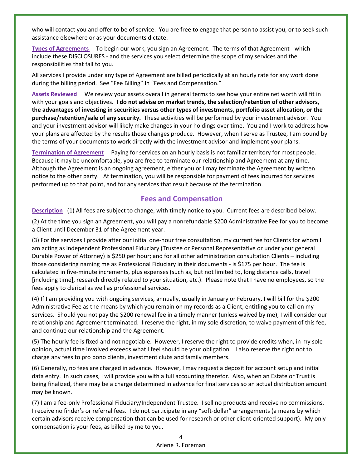who will contact you and offer to be of service. You are free to engage that person to assist you, or to seek such assistance elsewhere or as your documents dictate.

**Types of Agreements** To begin our work, you sign an Agreement. The terms of that Agreement ‐ which include these DISCLOSURES ‐ and the services you select determine the scope of my services and the responsibilities that fall to you.

All services I provide under any type of Agreement are billed periodically at an hourly rate for any work done during the billing period. See "Fee Billing" In "Fees and Compensation."

**Assets Reviewed** We review your assets overall in general terms to see how your entire net worth will fit in with your goals and objectives. **I do not advise on market trends, the selection/retention of other advisors, the advantages of investing in securities versus other types of investments, portfolio asset allocation, or the purchase/retention/sale of any security.** These activities will be performed by your investment advisor. You and your investment advisor will likely make changes in your holdings over time. You and I work to address how your plans are affected by the results those changes produce. However, when I serve as Trustee, I am bound by the terms of your documents to work directly with the investment advisor and implement your plans.

**Termination of Agreement** Paying for services on an hourly basis is not familiar territory for most people. Because it may be uncomfortable, you are free to terminate our relationship and Agreement at any time. Although the Agreement is an ongoing agreement, either you or I may terminate the Agreement by written notice to the other party. At termination, you will be responsible for payment of fees incurred for services performed up to that point, and for any services that result because of the termination.

#### **Fees and Compensation**

**Description** (1) All fees are subject to change, with timely notice to you. Current fees are described below.

(2) At the time you sign an Agreement, you will pay a nonrefundable \$200 Administrative Fee for you to become a Client until December 31 of the Agreement year.

(3) For the services I provide after our initial one-hour free consultation, my current fee for Clients for whom I am acting as independent Professional Fiduciary (Trustee or Personal Representative or under your general Durable Power of Attorney) is \$250 per hour; and for all other administration consultation Clients – including those considering naming me as Professional Fiduciary in their documents ‐ is \$175 per hour. The fee is calculated in five‐minute increments, plus expenses (such as, but not limited to, long distance calls, travel [including time], research directly related to your situation, etc.). Please note that I have no employees, so the fees apply to clerical as well as professional services.

(4) If I am providing you with ongoing services, annually, usually in January or February, I will bill for the \$200 Administrative Fee as the means by which you remain on my records as a Client, entitling you to call on my services. Should you not pay the \$200 renewal fee in a timely manner (unless waived by me), I will consider our relationship and Agreement terminated. I reserve the right, in my sole discretion, to waive payment of this fee, and continue our relationship and the Agreement.

(5) The hourly fee is fixed and not negotiable. However, I reserve the right to provide credits when, in my sole opinion, actual time involved exceeds what I feel should be your obligation. I also reserve the right not to charge any fees to pro bono clients, investment clubs and family members.

(6) Generally, no fees are charged in advance. However, I may request a deposit for account setup and initial data entry. In such cases, I will provide you with a full accounting therefor. Also, when an Estate or Trust is being finalized, there may be a charge determined in advance for final services so an actual distribution amount may be known.

(7) I am a fee‐only Professional Fiduciary/Independent Trustee. I sell no products and receive no commissions. I receive no finder's or referral fees. I do not participate in any "soft‐dollar" arrangements (a means by which certain advisors receive compensation that can be used for research or other client‐oriented support). My only compensation is your fees, as billed by me to you.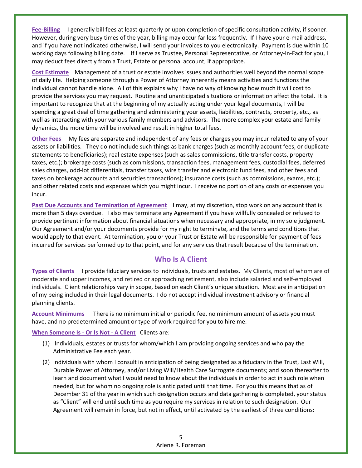**Fee‐Billing** I generally bill fees at least quarterly or upon completion of specific consultation activity, if sooner. However, during very busy times of the year, billing may occur far less frequently. If I have your e-mail address, and if you have not indicated otherwise, I will send your invoices to you electronically. Payment is due within 10 working days following billing date. If I serve as Trustee, Personal Representative, or Attorney-In-Fact for you, I may deduct fees directly from a Trust, Estate or personal account, if appropriate.

**Cost Estimate** Management of a trust or estate involves issues and authorities well beyond the normal scope of daily life. Helping someone through a Power of Attorney inherently means activities and functions the individual cannot handle alone. All of this explains why I have no way of knowing how much it will cost to provide the services you may request. Routine and unanticipated situations or information affect the total. It is important to recognize that at the beginning of my actually acting under your legal documents, I will be spending a great deal of time gathering and administering your assets, liabilities, contracts, property, etc., as well as interacting with your various family members and advisors. The more complex your estate and family dynamics, the more time will be involved and result in higher total fees.

**Other Fees** My fees are separate and independent of any fees or charges you may incur related to any of your assets or liabilities. They do not include such things as bank charges (such as monthly account fees, or duplicate statements to beneficiaries); real estate expenses (such as sales commissions, title transfer costs, property taxes, etc.); brokerage costs (such as commissions, transaction fees, management fees, custodial fees, deferred sales charges, odd‐lot differentials, transfer taxes, wire transfer and electronic fund fees, and other fees and taxes on brokerage accounts and securities transactions); insurance costs (such as commissions, exams, etc.); and other related costs and expenses which you might incur. I receive no portion of any costs or expenses you incur.

**Past Due Accounts and Termination of Agreement** I may, at my discretion, stop work on any account that is more than 5 days overdue. I also may terminate any Agreement if you have willfully concealed or refused to provide pertinent information about financial situations when necessary and appropriate, in my sole judgment. Our Agreement and/or your documents provide for my right to terminate, and the terms and conditions that would apply to that event. At termination, you or your Trust or Estate will be responsible for payment of fees incurred for services performed up to that point, and for any services that result because of the termination.

## **Who Is A Client**

**Types of Clients** I provide fiduciary services to individuals, trusts and estates. My Clients, most of whom are of moderate and upper incomes, and retired or approaching retirement, also include salaried and self‐employed individuals. Client relationships vary in scope, based on each Client's unique situation. Most are in anticipation of my being included in their legal documents. I do not accept individual investment advisory or financial planning clients.

**Account Minimums** There is no minimum initial or periodic fee, no minimum amount of assets you must have, and no predetermined amount or type of work required for you to hire me.

**When Someone Is ‐ Or Is Not ‐ A Client** Clients are:

- (1) Individuals, estates or trusts for whom/which I am providing ongoing services and who pay the Administrative Fee each year.
- (2) Individuals with whom I consult in anticipation of being designated as a fiduciary in the Trust, Last Will, Durable Power of Attorney, and/or Living Will/Health Care Surrogate documents; and soon thereafter to learn and document what I would need to know about the individuals in order to act in such role when needed, but for whom no ongoing role is anticipated until that time. For you this means that as of December 31 of the year in which such designation occurs and data gathering is completed, your status as "Client" will end until such time as you require my services in relation to such designation. Our Agreement will remain in force, but not in effect, until activated by the earliest of three conditions: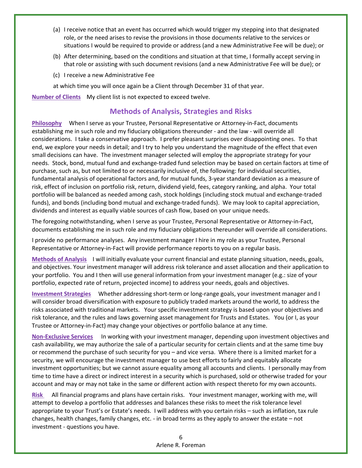- (a) I receive notice that an event has occurred which would trigger my stepping into that designated role, or the need arises to revise the provisions in those documents relative to the services or situations I would be required to provide or address (and a new Administrative Fee will be due); or
- (b) After determining, based on the conditions and situation at that time, I formally accept serving in that role or assisting with such document revisions (and a new Administrative Fee will be due); or
- (c) I receive a new Administrative Fee

at which time you will once again be a Client through December 31 of that year.

**Number of Clients** My client list is not expected to exceed twelve.

## **Methods of Analysis, Strategies and Risks**

**Philosophy** When I serve as your Trustee, Personal Representative or Attorney-in-Fact, documents establishing me in such role and my fiduciary obligations thereunder ‐ and the law ‐ will override all considerations. I take a conservative approach. I prefer pleasant surprises over disappointing ones. To that end, we explore your needs in detail; and I try to help you understand the magnitude of the effect that even small decisions can have. The investment manager selected will employ the appropriate strategy for your needs. Stock, bond, mutual fund and exchange‐traded fund selection may be based on certain factors at time of purchase, such as, but not limited to or necessarily inclusive of, the following: for individual securities, fundamental analysis of operational factors and, for mutual funds, 3‐year standard deviation as a measure of risk, effect of inclusion on portfolio risk, return, dividend yield, fees, category ranking, and alpha. Your total portfolio will be balanced as needed among cash, stock holdings (including stock mutual and exchange‐traded funds), and bonds (including bond mutual and exchange-traded funds). We may look to capital appreciation, dividends and interest as equally viable sources of cash flow, based on your unique needs.

The foregoing notwithstanding, when I serve as your Trustee, Personal Representative or Attorney‐in‐Fact, documents establishing me in such role and my fiduciary obligations thereunder will override all considerations.

I provide no performance analyses. Any investment manager I hire in my role as your Trustee, Personal Representative or Attorney-in-Fact will provide performance reports to you on a regular basis.

**Methods of Analysis** I will initially evaluate your current financial and estate planning situation, needs, goals, and objectives. Your investment manager will address risk tolerance and asset allocation and their application to your portfolio. You and I then will use general information from your investment manager (e.g.: size of your portfolio, expected rate of return, projected income) to address your needs, goals and objectives.

**Investment Strategies** Whether addressing short‐term or long‐range goals, your investment manager and I will consider broad diversification with exposure to publicly traded markets around the world, to address the risks associated with traditional markets. Your specific investment strategy is based upon your objectives and risk tolerance, and the rules and laws governing asset management for Trusts and Estates. You (or I, as your Trustee or Attorney‐in‐Fact) may change your objectives or portfolio balance at any time.

**Non‐Exclusive Services** In working with your investment manager, depending upon investment objectives and cash availability, we may authorize the sale of a particular security for certain clients and at the same time buy or recommend the purchase of such security for you – and vice versa. Where there is a limited market for a security, we will encourage the investment manager to use best efforts to fairly and equitably allocate investment opportunities; but we cannot assure equality among all accounts and clients. I personally may from time to time have a direct or indirect interest in a security which is purchased, sold or otherwise traded for your account and may or may not take in the same or different action with respect thereto for my own accounts.

**Risk** All financial programs and plans have certain risks. Your investment manager, working with me, will attempt to develop a portfolio that addresses and balances these risks to meet the risk tolerance level appropriate to your Trust's or Estate's needs. I will address with you certain risks – such as inflation, tax rule changes, health changes, family changes, etc. ‐ in broad terms as they apply to answer the estate – not investment ‐ questions you have.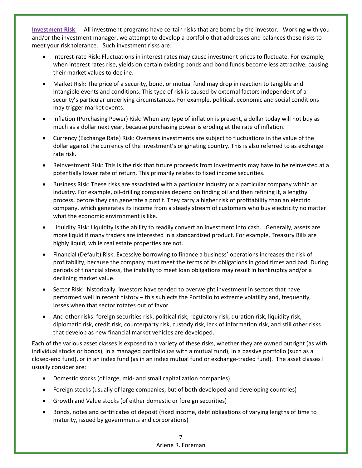**Investment Risk** All investment programs have certain risks that are borne by the investor. Working with you and/or the investment manager, we attempt to develop a portfolio that addresses and balances these risks to meet your risk tolerance. Such investment risks are:

- Interest‐rate Risk: Fluctuations in interest rates may cause investment prices to fluctuate. For example, when interest rates rise, yields on certain existing bonds and bond funds become less attractive, causing their market values to decline.
- Market Risk: The price of a security, bond, or mutual fund may drop in reaction to tangible and intangible events and conditions. This type of risk is caused by external factors independent of a security's particular underlying circumstances. For example, political, economic and social conditions may trigger market events.
- Inflation (Purchasing Power) Risk: When any type of inflation is present, a dollar today will not buy as much as a dollar next year, because purchasing power is eroding at the rate of inflation.
- Currency (Exchange Rate) Risk: Overseas investments are subject to fluctuations in the value of the dollar against the currency of the investment's originating country. This is also referred to as exchange rate risk.
- Reinvestment Risk: This is the risk that future proceeds from investments may have to be reinvested at a potentially lower rate of return. This primarily relates to fixed income securities.
- Business Risk: These risks are associated with a particular industry or a particular company within an industry. For example, oil‐drilling companies depend on finding oil and then refining it, a lengthy process, before they can generate a profit. They carry a higher risk of profitability than an electric company, which generates its income from a steady stream of customers who buy electricity no matter what the economic environment is like.
- Liquidity Risk: Liquidity is the ability to readily convert an investment into cash. Generally, assets are more liquid if many traders are interested in a standardized product. For example, Treasury Bills are highly liquid, while real estate properties are not.
- Financial (Default) Risk: Excessive borrowing to finance a business' operations increases the risk of profitability, because the company must meet the terms of its obligations in good times and bad. During periods of financial stress, the inability to meet loan obligations may result in bankruptcy and/or a declining market value.
- Sector Risk: historically, investors have tended to overweight investment in sectors that have performed well in recent history – this subjects the Portfolio to extreme volatility and, frequently, losses when that sector rotates out of favor.
- And other risks: foreign securities risk, political risk, regulatory risk, duration risk, liquidity risk, diplomatic risk, credit risk, counterparty risk, custody risk, lack of information risk, and still other risks that develop as new financial market vehicles are developed.

Each of the various asset classes is exposed to a variety of these risks, whether they are owned outright (as with individual stocks or bonds), in a managed portfolio (as with a mutual fund), in a passive portfolio (such as a closed‐end fund), or in an index fund (as in an index mutual fund or exchange‐traded fund). The asset classes I usually consider are:

- Domestic stocks (of large, mid‐ and small capitalization companies)
- Foreign stocks (usually of large companies, but of both developed and developing countries)
- Growth and Value stocks (of either domestic or foreign securities)
- Bonds, notes and certificates of deposit (fixed income, debt obligations of varying lengths of time to maturity, issued by governments and corporations)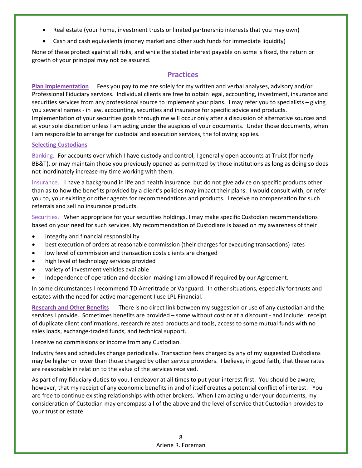- Real estate (your home, investment trusts or limited partnership interests that you may own)
- Cash and cash equivalents (money market and other such funds for immediate liquidity)

None of these protect against all risks, and while the stated interest payable on some is fixed, the return or growth of your principal may not be assured.

## **Practices**

**Plan Implementation** Fees you pay to me are solely for my written and verbal analyses, advisory and/or Professional Fiduciary services. Individual clients are free to obtain legal, accounting, investment, insurance and securities services from any professional source to implement your plans. I may refer you to specialists – giving you several names ‐ in law, accounting, securities and insurance for specific advice and products. Implementation of your securities goals through me will occur only after a discussion of alternative sources and at your sole discretion unless I am acting under the auspices of your documents. Under those documents, when I am responsible to arrange for custodial and execution services, the following applies.

#### **Selecting Custodians**

Banking.For accounts over which I have custody and control, I generally open accounts at Truist (formerly BB&T), or may maintain those you previously opened as permitted by those institutions as long as doing so does not inordinately increase my time working with them.

Insurance.I have a background in life and health insurance, but do not give advice on specific products other than as to how the benefits provided by a client's policies may impact their plans. I would consult with, or refer you to, your existing or other agents for recommendations and products. I receive no compensation for such referrals and sell no insurance products.

Securities. When appropriate for your securities holdings, I may make specific Custodian recommendations based on your need for such services. My recommendation of Custodians is based on my awareness of their

- integrity and financial responsibility
- best execution of orders at reasonable commission (their charges for executing transactions) rates
- low level of commission and transaction costs clients are charged
- high level of technology services provided
- variety of investment vehicles available
- independence of operation and decision-making I am allowed if required by our Agreement.

In some circumstances I recommend TD Ameritrade or Vanguard. In other situations, especially for trusts and estates with the need for active management I use LPL Financial.

**Research and Other Benefits** There is no direct link between my suggestion or use of any custodian and the services I provide. Sometimes benefits are provided – some without cost or at a discount - and include: receipt of duplicate client confirmations, research related products and tools, access to some mutual funds with no sales loads, exchange‐traded funds, and technical support.

I receive no commissions or income from any Custodian.

Industry fees and schedules change periodically. Transaction fees charged by any of my suggested Custodians may be higher or lower than those charged by other service providers. I believe, in good faith, that these rates are reasonable in relation to the value of the services received.

As part of my fiduciary duties to you, I endeavor at all times to put your interest first. You should be aware, however, that my receipt of any economic benefits in and of itself creates a potential conflict of interest. You are free to continue existing relationships with other brokers. When I am acting under your documents, my consideration of Custodian may encompass all of the above and the level of service that Custodian provides to your trust or estate.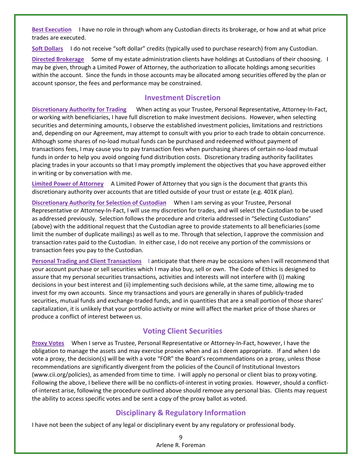**Best Execution**  I have no role in through whom any Custodian directs its brokerage, or how and at what price trades are executed.

**Soft Dollars** I do not receive "soft dollar" credits (typically used to purchase research) from any Custodian.

**Directed Brokerage** Some of my estate administration clients have holdings at Custodians of their choosing. I may be given, through a Limited Power of Attorney, the authorization to allocate holdings among securities within the account. Since the funds in those accounts may be allocated among securities offered by the plan or account sponsor, the fees and performance may be constrained.

#### **Investment Discretion**

**Discretionary Authority for Trading** When acting as your Trustee, Personal Representative, Attorney‐In‐Fact, or working with beneficiaries, I have full discretion to make investment decisions. However, when selecting securities and determining amounts, I observe the established investment policies, limitations and restrictions and, depending on our Agreement, may attempt to consult with you prior to each trade to obtain concurrence. Although some shares of no‐load mutual funds can be purchased and redeemed without payment of transactions fees, I may cause you to pay transaction fees when purchasing shares of certain no‐load mutual funds in order to help you avoid ongoing fund distribution costs. Discretionary trading authority facilitates placing trades in your accounts so that I may promptly implement the objectives that you have approved either in writing or by conversation with me.

**Limited Power of Attorney** A Limited Power of Attorney that you sign is the document that grants this discretionary authority over accounts that are titled outside of your trust or estate (e.g. 401K plan).

**Discretionary Authority for Selection of Custodian** When I am serving as your Trustee, Personal Representative or Attorney-In-Fact, I will use my discretion for trades, and will select the Custodian to be used as addressed previously. Selection follows the procedure and criteria addressed in "Selecting Custodians" (above) with the additional request that the Custodian agree to provide statements to all beneficiaries (some limit the number of duplicate mailings) as well as to me. Through that selection, I approve the commission and transaction rates paid to the Custodian. In either case, I do not receive any portion of the commissions or transaction fees you pay to the Custodian.

**Personal Trading and Client Transactions** I anticipate that there may be occasions when I will recommend that your account purchase or sell securities which I may also buy, sell or own. The Code of Ethics is designed to assure that my personal securities transactions, activities and interests will not interfere with (i) making decisions in your best interest and (ii) implementing such decisions while, at the same time, allowing me to invest for my own accounts. Since my transactions and yours are generally in shares of publicly‐traded securities, mutual funds and exchange‐traded funds, and in quantities that are a small portion of those shares' capitalization, it is unlikely that your portfolio activity or mine will affect the market price of those shares or produce a conflict of interest between us. 

## **Voting Client Securities**

**Proxy Votes** When I serve as Trustee, Personal Representative or Attorney‐In‐Fact, however, I have the obligation to manage the assets and may exercise proxies when and as I deem appropriate. If and when I do vote a proxy, the decision(s) will be with a vote "FOR" the Board's recommendations on a proxy, unless those recommendations are significantly divergent from the policies of the Council of Institutional Investors (www.cii.org/policies), as amended from time to time. I will apply no personal or client bias to proxy voting. Following the above, I believe there will be no conflicts-of-interest in voting proxies. However, should a conflictof-interest arise, following the procedure outlined above should remove any personal bias. Clients may request the ability to access specific votes and be sent a copy of the proxy ballot as voted.

## **Disciplinary & Regulatory Information**

I have not been the subject of any legal or disciplinary event by any regulatory or professional body.

9 Arlene R. Foreman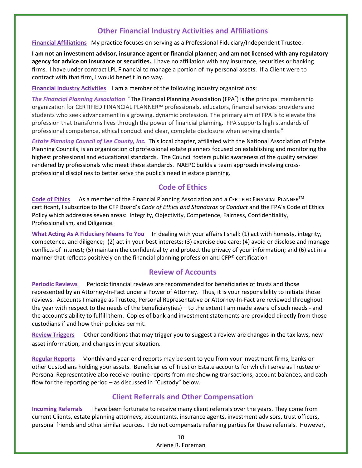## **Other Financial Industry Activities and Affiliations**

#### **Financial Affiliations** My practice focuses on serving as a Professional Fiduciary/Independent Trustee.

I am not an investment advisor, insurance agent or financial planner; and am not licensed with any regulatory **agency for advice on insurance or securities.** I have no affiliation with any insurance, securities or banking firms. I have under contract LPL Financial to manage a portion of my personal assets. If a Client were to contract with that firm, I would benefit in no way.

**Financial Industry Activities** I am a member of the following industry organizations:

*The Financial Planning Association*"The Financial Planning Association (FPA® ) is the principal membership organization for CERTIFIED FINANCIAL PLANNER™ professionals, educators, financial services providers and students who seek advancement in a growing, dynamic profession. The primary aim of FPA is to elevate the profession that transforms lives through the power of financial planning*.* FPA supports high standards of professional competence, ethical conduct and clear, complete disclosure when serving clients."

*Estate Planning Council of Lee County, Inc.* This local chapter, affiliated with the National Association of Estate Planning Councils, is an organization of professional estate planners focused on establishing and monitoring the highest professional and educational standards. The Council fosters public awareness of the quality services rendered by professionals who meet these standards. NAEPC builds a team approach involving cross‐ professional disciplines to better serve the public's need in estate planning.

## **Code of Ethics**

**Code of Ethics** As a member of the Financial Planning Association and a CERTIFIED FINANCIAL PLANNERTM certificant, I subscribe to the CFP Board's *Code of Ethics and Standards of Conduct* and the FPA's Code of Ethics Policy which addresses seven areas: Integrity, Objectivity, Competence, Fairness, Confidentiality, Professionalism, and Diligence.

**What Acting As A Fiduciary Means To You** In dealing with your affairs I shall: (1) act with honesty, integrity, competence, and diligence; (2) act in your best interests; (3) exercise due care; (4) avoid or disclose and manage conflicts of interest; (5) maintain the confidentiality and protect the privacy of your information; and (6) act in a manner that reflects positively on the financial planning profession and CFP® certification

## **Review of Accounts**

**Periodic Reviews** Periodic financial reviews are recommended for beneficiaries of trusts and those represented by an Attorney-In-Fact under a Power of Attorney. Thus, it is your responsibility to initiate those reviews. Accounts I manage as Trustee, Personal Representative or Attorney‐In‐Fact are reviewed throughout the year with respect to the needs of the beneficiary(ies) – to the extent I am made aware of such needs ‐ and the account's ability to fulfill them. Copies of bank and investment statements are provided directly from those custodians if and how their policies permit.

**Review Triggers** Other conditions that may trigger you to suggest a review are changes in the tax laws, new asset information, and changes in your situation.

**Regular Reports** Monthly and year‐end reports may be sent to you from your investment firms, banks or other Custodians holding your assets. Beneficiaries of Trust or Estate accounts for which I serve as Trustee or Personal Representative also receive routine reports from me showing transactions, account balances, and cash flow for the reporting period – as discussed in "Custody" below.

## **Client Referrals and Other Compensation**

**Incoming Referrals** I have been fortunate to receive many client referrals over the years. They come from current Clients, estate planning attorneys, accountants, insurance agents, investment advisors, trust officers, personal friends and other similar sources. I do not compensate referring parties for these referrals. However,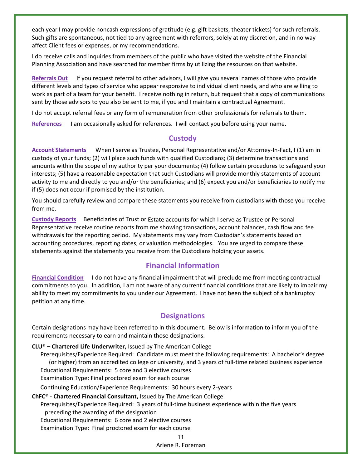each year I may provide noncash expressions of gratitude (e.g. gift baskets, theater tickets) for such referrals. Such gifts are spontaneous, not tied to any agreement with referrors, solely at my discretion, and in no way affect Client fees or expenses, or my recommendations.

I do receive calls and inquiries from members of the public who have visited the website of the Financial Planning Association and have searched for member firms by utilizing the resources on that website.

**Referrals Out** If you request referral to other advisors, I will give you several names of those who provide different levels and types of service who appear responsive to individual client needs, and who are willing to work as part of a team for your benefit. I receive nothing in return, but request that a copy of communications sent by those advisors to you also be sent to me, if you and I maintain a contractual Agreement.

I do not accept referral fees or any form of remuneration from other professionals for referrals to them.

**References** I am occasionally asked for references. I will contact you before using your name.

#### **Custody**

**Account Statements** When I serve as Trustee, Personal Representative and/or Attorney‐In‐Fact, I (1) am in custody of your funds; (2) will place such funds with qualified Custodians; (3) determine transactions and amounts within the scope of my authority per your documents; (4) follow certain procedures to safeguard your interests; (5) have a reasonable expectation that such Custodians will provide monthly statements of account activity to me and directly to you and/or the beneficiaries; and (6) expect you and/or beneficiaries to notify me if (5) does not occur if promised by the institution.

You should carefully review and compare these statements you receive from custodians with those you receive from me.

**Custody Reports** Beneficiaries of Trust or Estate accounts for which I serve as Trustee or Personal Representative receive routine reports from me showing transactions, account balances, cash flow and fee withdrawals for the reporting period. My statements may vary from Custodian's statements based on accounting procedures, reporting dates, or valuation methodologies. You are urged to compare these statements against the statements you receive from the Custodians holding your assets.

## **Financial Information**

**Financial Condition I** do not have any financial impairment that will preclude me from meeting contractual commitments to you. In addition, I am not aware of any current financial conditions that are likely to impair my ability to meet my commitments to you under our Agreement. I have not been the subject of a bankruptcy petition at any time.

## **Designations**

Certain designations may have been referred to in this document. Below is information to inform you of the requirements necessary to earn and maintain those designations.

#### **CLU**® **– Chartered Life Underwriter,** Issued by The American College

Prerequisites/Experience Required: Candidate must meet the following requirements: A bachelor's degree (or higher) from an accredited college or university, and 3 years of full‐time related business experience Educational Requirements: 5 core and 3 elective courses Examination Type: Final proctored exam for each course Continuing Education/Experience Requirements: 30 hours every 2‐years

#### **ChFC**® **‐ Chartered Financial Consultant,** Issued by The American College

Prerequisites/Experience Required: 3 years of full‐time business experience within the five years preceding the awarding of the designation

Educational Requirements: 6 core and 2 elective courses

Examination Type: Final proctored exam for each course

11 Arlene R. Foreman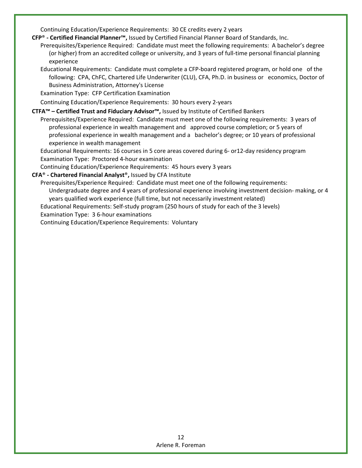Continuing Education/Experience Requirements: 30 CE credits every 2 years

**CFP**® **‐ Certified Financial Planner™,** Issued by Certified Financial Planner Board of Standards, Inc.

- Prerequisites/Experience Required: Candidate must meet the following requirements: A bachelor's degree (or higher) from an accredited college or university, and 3 years of full‐time personal financial planning experience
- Educational Requirements: Candidate must complete a CFP‐board registered program, or hold one of the following: CPA, ChFC, Chartered Life Underwriter (CLU), CFA, Ph.D. in business or economics, Doctor of Business Administration, Attorney's License

Examination Type: CFP Certification Examination

Continuing Education/Experience Requirements: 30 hours every 2‐years

#### **CTFA™ – Certified Trust and Fiduciary Advisor™,** Issued by Institute of Certified Bankers

Prerequisites/Experience Required: Candidate must meet one of the following requirements: 3 years of professional experience in wealth management and approved course completion; or 5 years of professional experience in wealth management and a bachelor's degree; or 10 years of professional experience in wealth management

Educational Requirements: 16 courses in 5 core areas covered during 6‐ or12‐day residency program Examination Type: Proctored 4‐hour examination

Continuing Education/Experience Requirements: 45 hours every 3 years

#### **CFA**® **‐ Chartered Financial Analyst**®**,** Issued by CFA Institute

Prerequisites/Experience Required: Candidate must meet one of the following requirements: Undergraduate degree and 4 years of professional experience involving investment decision‐ making, or 4 years qualified work experience (full time, but not necessarily investment related) Educational Requirements: Self‐study program (250 hours of study for each of the 3 levels) Examination Type: 3 6‐hour examinations

Continuing Education/Experience Requirements: Voluntary